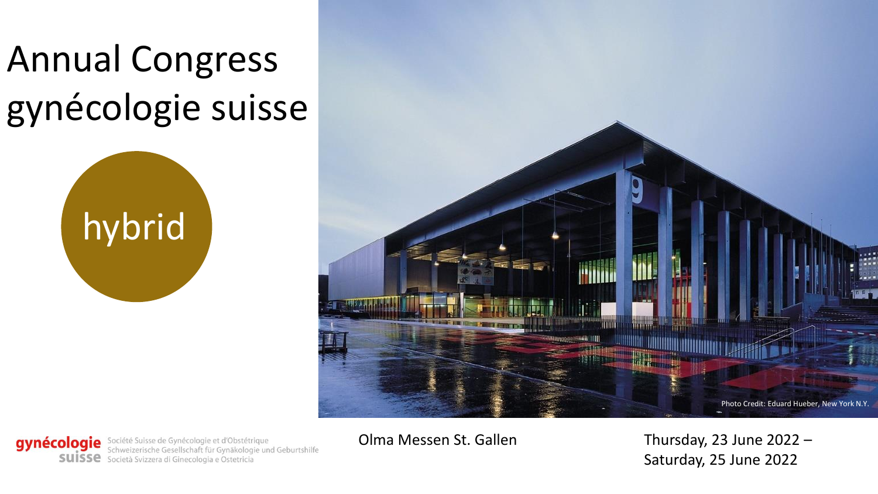## Annual Congress gynécologie suisse





gynécologie Société Suisse de Gynécologie et d'Obstétrique<br>Schweizerische Gesellschaft für Gynäkologie und Geburtshilfe SUISSE Società Svizzera di Ginecologia e Ostetricia

Olma Messen St. Gallen Thursday, 23 June 2022 – Saturday, 25 June 2022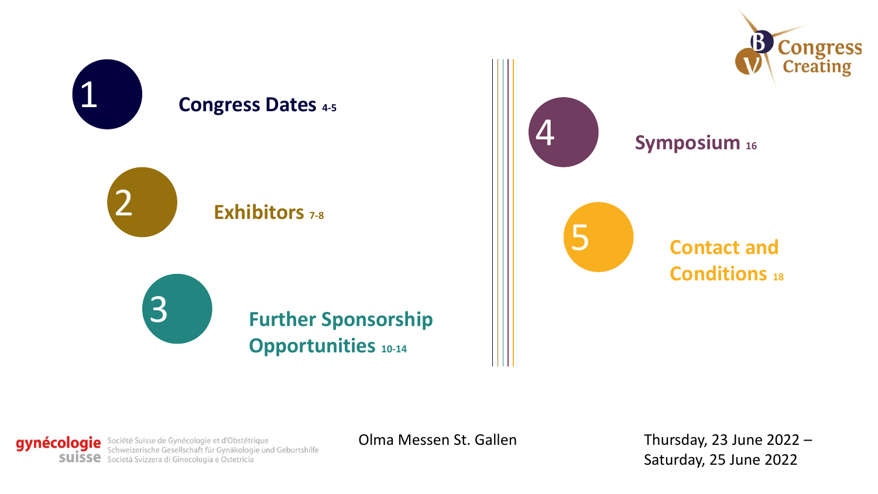

gynécologie Société Suisse de Gynécologie et d'Obstétrique<br>Schweizerische Gesellschaft für Gynäkologie und Geburtshilfe SUISSE Società Svizzera di Ginecologia e Ostetricia

Olma Messen St. Gallen Thursday, 23 June 2022 – Saturday, 25 June 2022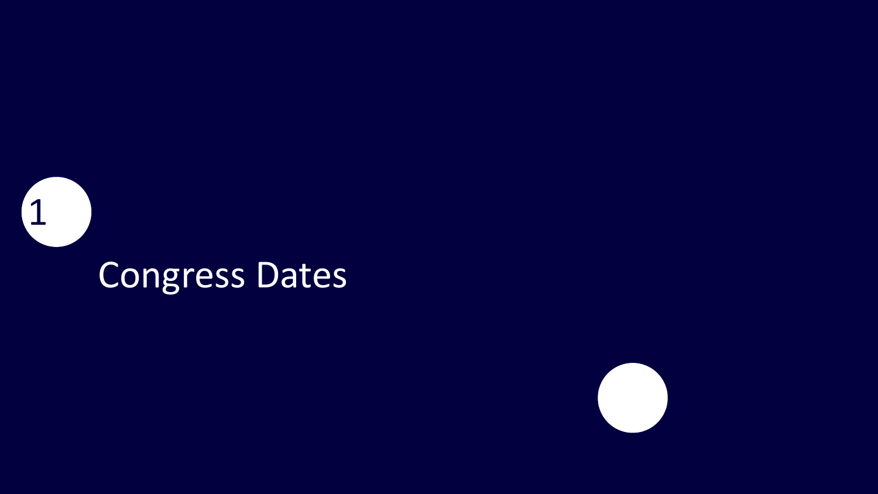

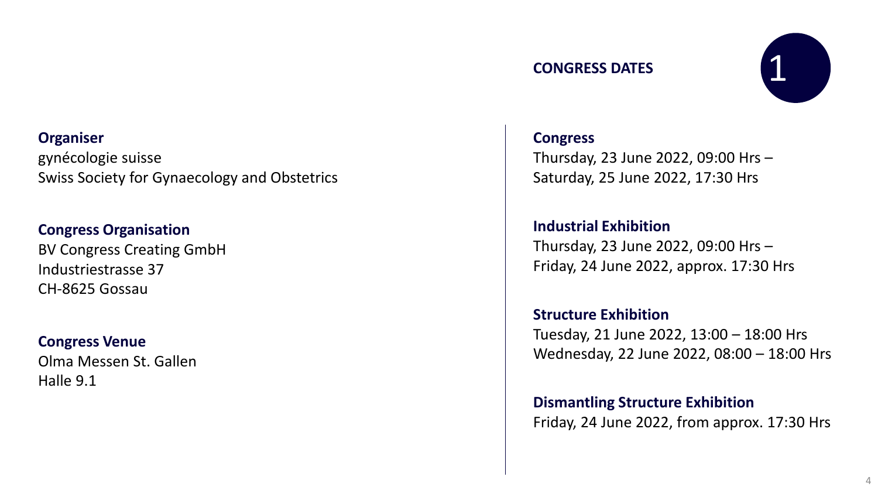#### **Organiser**

gynécologie suisse Swiss Society for Gynaecology and Obstetrics

#### **Congress Organisation**

BV Congress Creating GmbH Industriestrasse 37 CH-8625 Gossau

#### **Congress Venue**

Olma Messen St. Gallen Halle 9.1

#### **CONGRESS DATES**



#### **Congress**

Thursday, 23 June 2022, 09:00 Hrs – Saturday, 25 June 2022, 17:30 Hrs

**Industrial Exhibition** Thursday, 23 June 2022, 09:00 Hrs – Friday, 24 June 2022, approx. 17:30 Hrs

**Structure Exhibition** Tuesday, 21 June 2022, 13:00 – 18:00 Hrs Wednesday, 22 June 2022, 08:00 – 18:00 Hrs

**Dismantling Structure Exhibition** Friday, 24 June 2022, from approx. 17:30 Hrs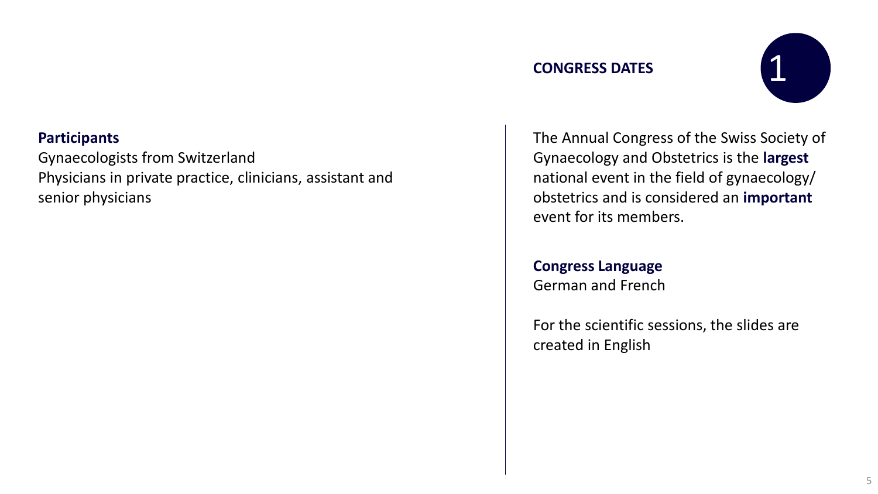#### **CONGRESS DATES**



#### **Participants**

Gynaecologists from Switzerland Physicians in private practice, clinicians, assistant and senior physicians

The Annual Congress of the Swiss Society of Gynaecology and Obstetrics is the **largest** national event in the field of gynaecology/ obstetrics and is considered an **important** event for its members.

**Congress Language** German and French

For the scientific sessions, the slides are created in English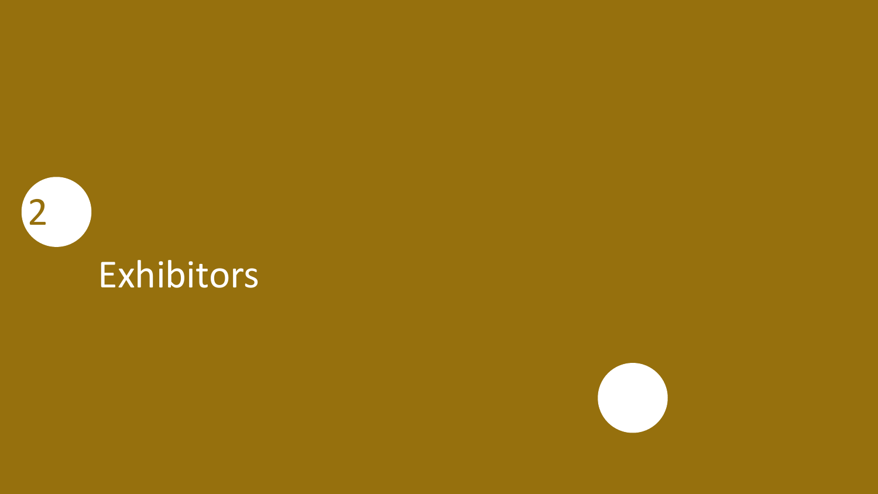

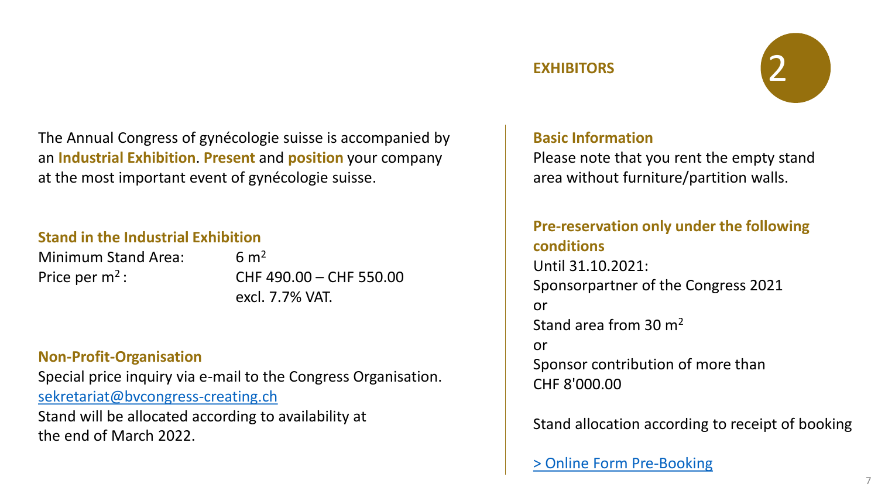

The Annual Congress of gynécologie suisse is accompanied by an **Industrial Exhibition**. **Present** and **position** your company at the most important event of gynécologie suisse.

#### **Stand in the Industrial Exhibition**

Minimum Stand Area: 6 m<sup>2</sup> Price per m<sup>2</sup>: CHF 490.00 – CHF 550.00 excl. 7.7% VAT.

#### **Non-Profit-Organisation**

Special price inquiry via e-mail to the Congress Organisation. [sekretariat@bvcongress-creating.ch](mailto:sekretariat@bvcongress-creating.ch) Stand will be allocated according to availability at the end of March 2022.

#### **Basic Information**

Please note that you rent the empty stand area without furniture/partition walls.

#### **Pre-reservation only under the following conditions** Until 31.10.2021: Sponsorpartner of the Congress 2021 or Stand area from 30 m<sup>2</sup> or Sponsor contribution of more than CHF 8'000.00

Stand allocation according to receipt of booking

[> Online Form Pre-Booking](https://bvcongress-creating.ch/machform9/view.php?id=242826)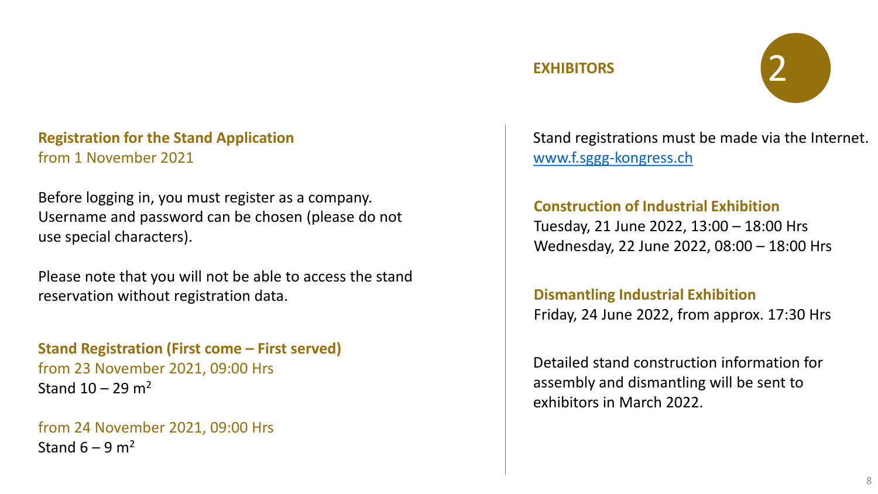

#### **Registration for the Stand Application** from 1 November 2021

Before logging in, you must register as a company. Username and password can be chosen (please do not use special characters).

Please note that you will not be able to access the stand reservation without registration data.

**Stand Registration (First come – First served)** from 23 November 2021, 09:00 Hrs Stand  $10 - 29$  m<sup>2</sup>

from 24 November 2021, 09:00 Hrs Stand  $6 - 9$  m<sup>2</sup>

Stand registrations must be made via the Internet. [www.f.sggg-kongress.ch](http://www.f.sggg-kongress.ch/)

#### **Construction of Industrial Exhibition**

Tuesday, 21 June 2022, 13:00 – 18:00 Hrs Wednesday, 22 June 2022, 08:00 – 18:00 Hrs

#### **Dismantling Industrial Exhibition**

Friday, 24 June 2022, from approx. 17:30 Hrs

Detailed stand construction information for assembly and dismantling will be sent to exhibitors in March 2022.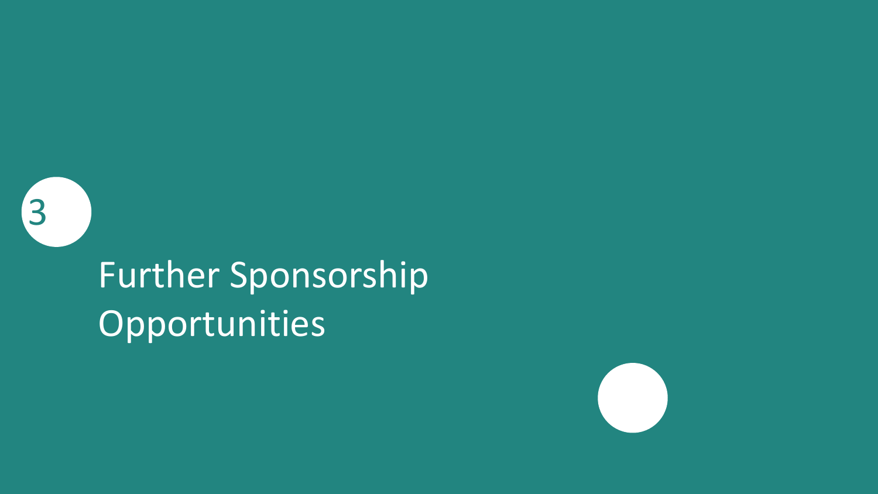3

## Further Sponsorship Opportunities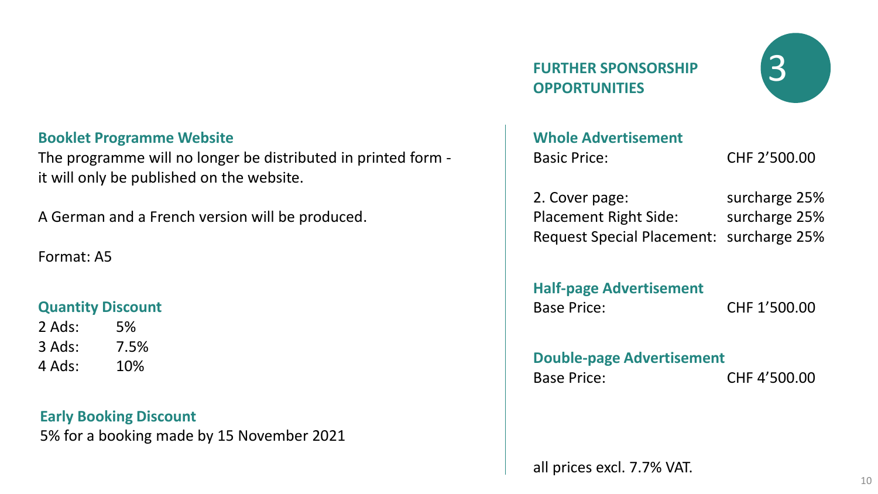#### **Booklet Programme Website**

The programme will no longer be distributed in printed form it will only be published on the website.

A German and a French version will be produced.

#### Format: A5

#### **Quantity Discount**

| 2 Ads: | 5%   |
|--------|------|
| 3 Ads: | 7.5% |
| 4 Ads: | 10%  |

**Early Booking Discount** 5% for a booking made by 15 November 2021 **FURTHER SPONSORSHIP OPPORTUNITIES**



### **Whole Advertisement** Basic Price: CHF 2'500.00 2. Cover page: surcharge 25% Placement Right Side: surcharge 25% Request Special Placement: surcharge 25% **Half-page Advertisement** Base Price: CHF 1'500.00 **Double-page Advertisement** Base Price: CHF 4'500.00 all prices excl. 7.7% VAT.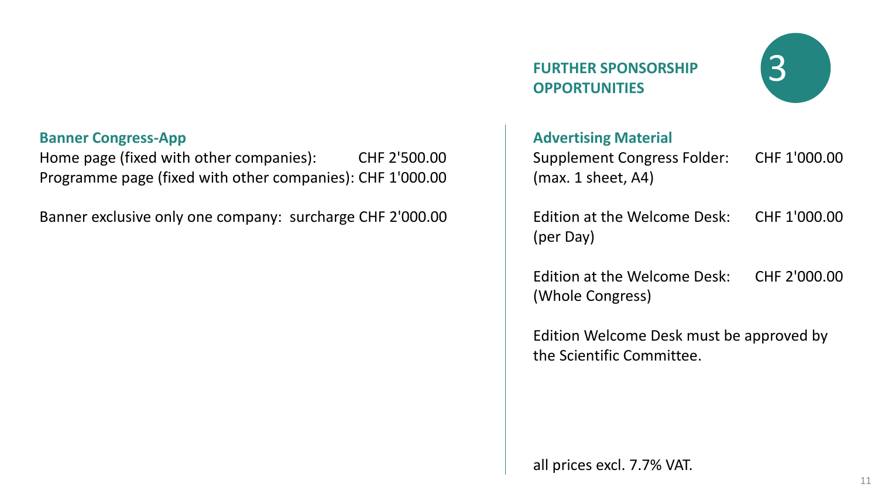#### **Banner Congress-App**

Home page (fixed with other companies): CHF 2'500.00 Programme page (fixed with other companies): CHF 1'000.00

Banner exclusive only one company: surcharge CHF 2'000.00

### **FURTHER SPONSORSHIP OPPORTUNITIES**



#### **Advertising Material**

Supplement Congress Folder: CHF 1'000.00 (max. 1 sheet, A4)

Edition at the Welcome Desk: CHF 1'000.00 (per Day)

Edition at the Welcome Desk: CHF 2'000.00 (Whole Congress)

Edition Welcome Desk must be approved by the Scientific Committee.

all prices excl. 7.7% VAT.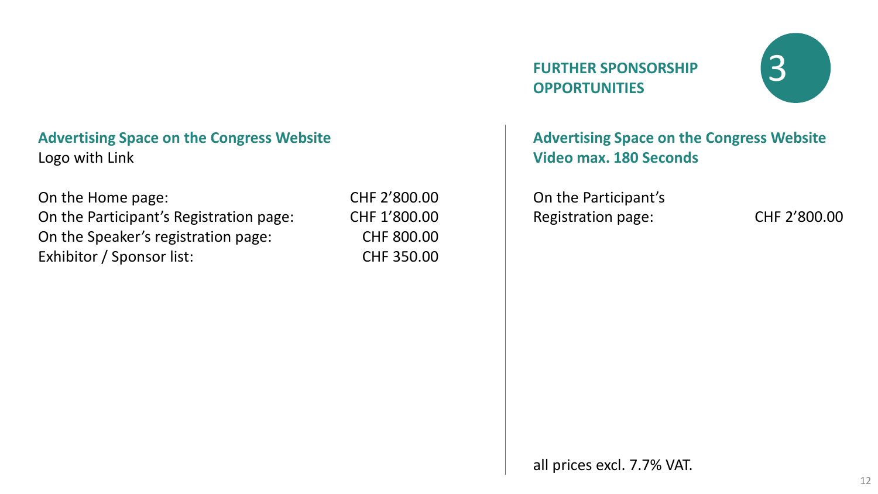#### **Advertising Space on the Congress Website** Logo with Link

On the Home page: CHF 2'800.00 On the Participant's Registration page: CHF 1'800.00 On the Speaker's registration page: CHF 800.00 Exhibitor / Sponsor list: CHF 350.00

### **FURTHER SPONSORSHIP OPPORTUNITIES**



#### **Advertising Space on the Congress Website Video max. 180 Seconds**

On the Participant's Registration page: CHF 2'800.00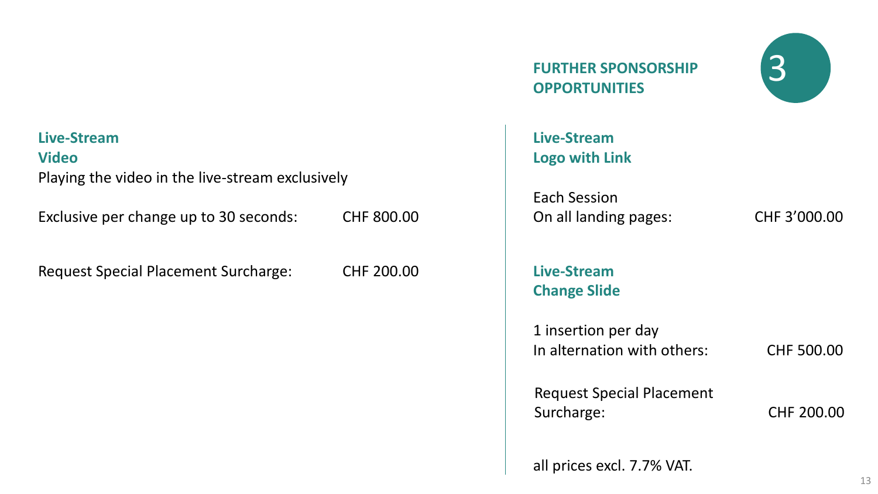#### **Live-Stream**

**Video**

Playing the video in the live-stream exclusively

Exclusive per change up to 30 seconds: CHF 800.00

Request Special Placement Surcharge: CHF 200.00 **Live-Stream**

**FURTHER SPONSORSHIP 3 OPPORTUNITIES**



**Live-Stream Logo with Link**

Each Session On all landing pages: CHF 3'000.00

**Change Slide**

1 insertion per day In alternation with others: CHF 500.00

Request Special Placement Surcharge: CHF 200.00

all prices excl. 7.7% VAT.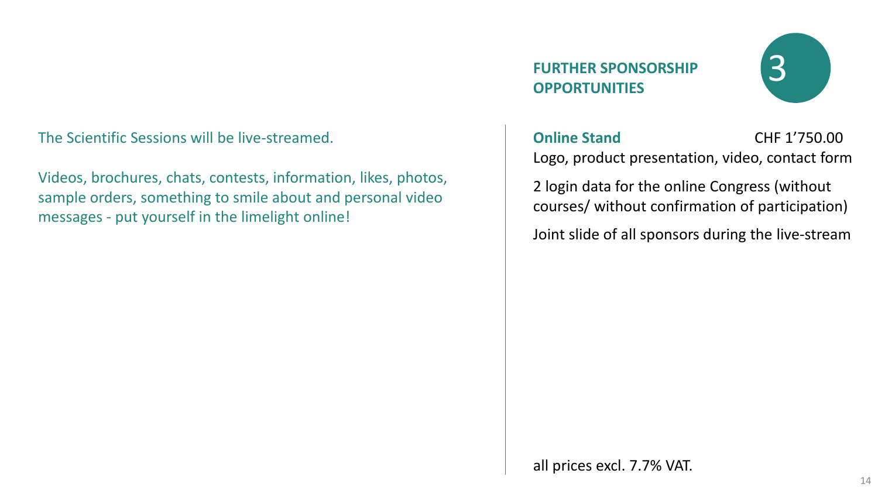#### The Scientific Sessions will be live-streamed.

Videos, brochures, chats, contests, information, likes, photos, sample orders, something to smile about and personal video messages - put yourself in the limelight online!

### **FURTHER SPONSORSHIP OPPORTUNITIES**



**Online Stand 2018 CHF 1'750.00** Logo, product presentation, video, contact form

2 login data for the online Congress (without courses/ without confirmation of participation)

Joint slide of all sponsors during the live-stream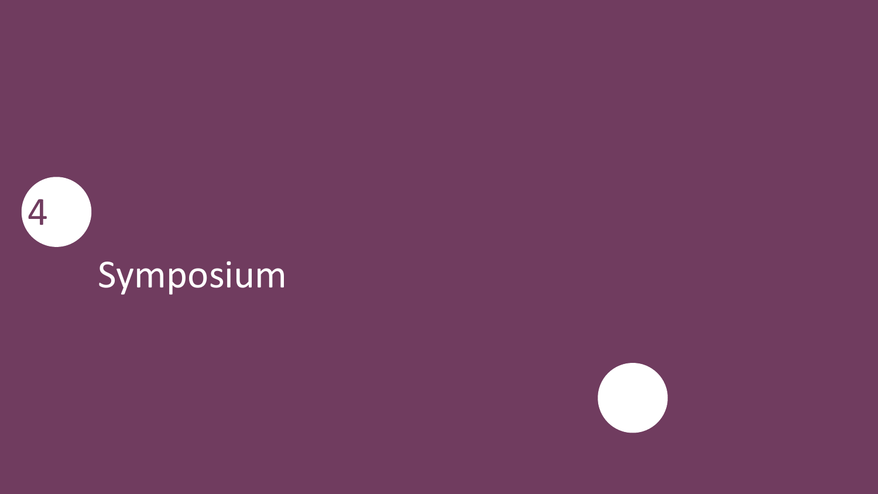

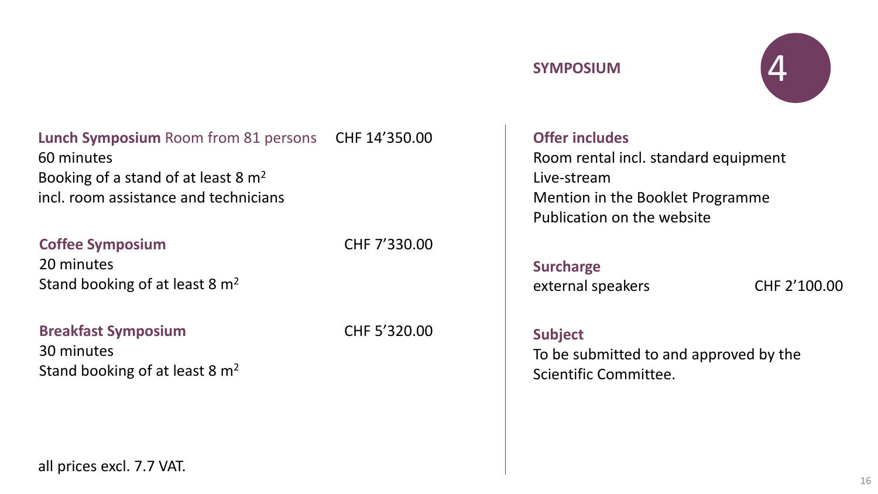



#### **Lunch Symposium** Room from 81 persons CHF 14'350.00 60 minutes Booking of a stand of at least 8 m<sup>2</sup> incl. room assistance and technicians

#### **Coffee Symposium** CHF 7'330.00

20 minutes Stand booking of at least 8  $m<sup>2</sup>$ 

**Breakfast Symposium CHF 5'320.00** 30 minutes Stand booking of at least 8 m<sup>2</sup>

all prices excl. 7.7 VAT.

#### **Offer includes** Room rental incl. standard equipment Live-stream Mention in the Booklet Programme Publication on the website

#### **Surcharge**

external speakers CHF 2'100.00

#### **Subject**

To be submitted to and approved by the Scientific Committee.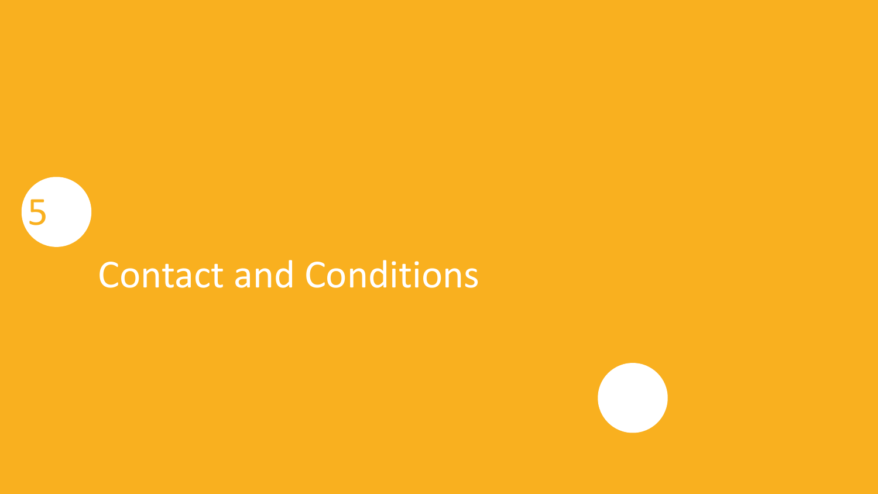# Contact and Conditions

5